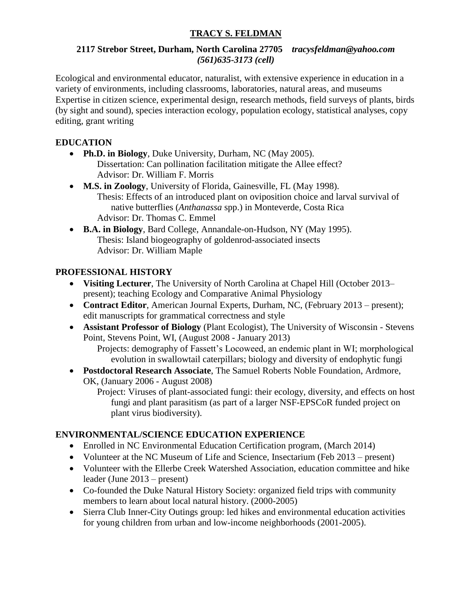# **TRACY S. FELDMAN**

### **2117 Strebor Street, Durham, North Carolina 27705** *tracysfeldman@yahoo.com (561)635-3173 (cell)*

Ecological and environmental educator, naturalist, with extensive experience in education in a variety of environments, including classrooms, laboratories, natural areas, and museums Expertise in citizen science, experimental design, research methods, field surveys of plants, birds (by sight and sound), species interaction ecology, population ecology, statistical analyses, copy editing, grant writing

## **EDUCATION**

- **Ph.D. in Biology**, [Duke University,](http://www.biology.duke.edu/) Durham, NC (May 2005). Dissertation: Can pollination facilitation mitigate the Allee effect? Advisor: Dr. William F. Morris
- **M.S. in Zoology**, [University of Florida,](http://www.zoo.ufl.edu/) Gainesville, FL (May 1998). Thesis: Effects of an introduced plant on oviposition choice and larval survival of native butterflies (*Anthanassa* spp.) in Monteverde, Costa Rica Advisor: Dr. Thomas C. Emmel
- **B.A. in Biology**, [Bard College,](http://www.bard.edu/) Annandale-on-Hudson, NY (May 1995). Thesis: Island biogeography of goldenrod-associated insects Advisor: Dr. William Maple

## **PROFESSIONAL HISTORY**

- **Visiting Lecturer**, The University of North Carolina at Chapel Hill (October 2013– present); teaching Ecology and Comparative Animal Physiology
- **Contract Editor**, American Journal Experts, Durham, NC, (February 2013 present); edit manuscripts for grammatical correctness and style
- **Assistant Professor of Biology** (Plant Ecologist), [The University of Wisconsin -](http://biology.uwsp.edu/Department/index.html) Stevens [Point,](http://biology.uwsp.edu/Department/index.html) Stevens Point, WI, (August 2008 - January 2013) Projects: demography of Fassett's Locoweed, an endemic plant in WI; morphological evolution in swallowtail caterpillars; biology and diversity of endophytic fungi
- **Postdoctoral Research Associate**, [The Samuel Roberts Noble Foundation,](http://www.noble.org/) Ardmore, OK, (January 2006 - August 2008)

Project: Viruses of plant-associated fungi: their ecology, diversity, and effects on host fungi and plant parasitism (as part of a larger NSF-EPSCoR funded project on plant virus biodiversity).

## **ENVIRONMENTAL/SCIENCE EDUCATION EXPERIENCE**

- Enrolled in NC Environmental Education Certification program, (March 2014)
- Volunteer at the NC Museum of Life and Science, Insectarium (Feb 2013 present)
- Volunteer with the Ellerbe Creek Watershed Association, education committee and hike leader (June 2013 – present)
- Co-founded the Duke Natural History Society: organized field trips with community members to learn about local natural history. (2000-2005)
- Sierra Club Inner-City Outings group: led hikes and environmental education activities for young children from urban and low-income neighborhoods (2001-2005).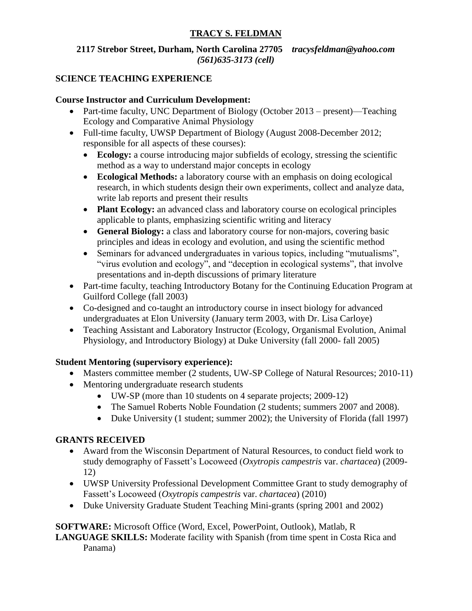# **TRACY S. FELDMAN**

## **2117 Strebor Street, Durham, North Carolina 27705** *tracysfeldman@yahoo.com (561)635-3173 (cell)*

## **SCIENCE TEACHING EXPERIENCE**

### **Course Instructor and Curriculum Development:**

- Part-time faculty, UNC Department of Biology (October 2013 present)—Teaching Ecology and Comparative Animal Physiology
- Full-time faculty, UWSP Department of Biology (August 2008-December 2012; responsible for all aspects of these courses):
	- **Ecology:** a course introducing major subfields of ecology, stressing the scientific method as a way to understand major concepts in ecology
	- **Ecological Methods:** a laboratory course with an emphasis on doing ecological research, in which students design their own experiments, collect and analyze data, write lab reports and present their results
	- **Plant Ecology:** an advanced class and laboratory course on ecological principles applicable to plants, emphasizing scientific writing and literacy
	- **General Biology:** a class and laboratory course for non-majors, covering basic principles and ideas in ecology and evolution, and using the scientific method
	- Seminars for advanced undergraduates in various topics, including "mutualisms", "virus evolution and ecology", and "deception in ecological systems", that involve presentations and in-depth discussions of primary literature
- Part-time faculty, teaching Introductory Botany for the Continuing Education Program at Guilford College (fall 2003)
- Co-designed and co-taught an introductory course in insect biology for advanced undergraduates at Elon University (January term 2003, with Dr. Lisa Carloye)
- Teaching Assistant and Laboratory Instructor (Ecology, Organismal Evolution, Animal Physiology, and Introductory Biology) at Duke University (fall 2000- fall 2005)

## **Student Mentoring (supervisory experience):**

- Masters committee member (2 students, UW-SP College of Natural Resources; 2010-11)
- Mentoring undergraduate research students
	- UW-SP (more than 10 students on 4 separate projects; 2009-12)
	- The Samuel Roberts Noble Foundation (2 students; summers 2007 and 2008).
	- Duke University (1 student; summer 2002); the University of Florida (fall 1997)

## **GRANTS RECEIVED**

- Award from the Wisconsin Department of Natural Resources, to conduct field work to study demography of Fassett's Locoweed (*Oxytropis campestris* var. *chartacea*) (2009- 12)
- UWSP University Professional Development Committee Grant to study demography of Fassett's Locoweed (*Oxytropis campestris* var. *chartacea*) (2010)
- Duke University Graduate Student Teaching Mini-grants (spring 2001 and 2002)

**SOFTWARE:** Microsoft Office (Word, Excel, PowerPoint, Outlook), Matlab, R **LANGUAGE SKILLS:** Moderate facility with Spanish (from time spent in Costa Rica and Panama)